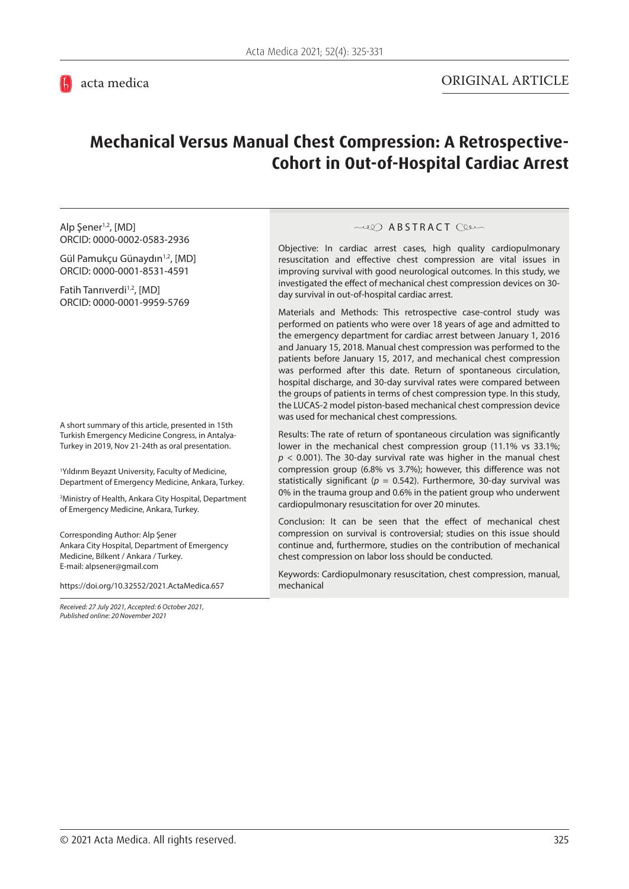# **Mechanical Versus Manual Chest Compression: A Retrospective-Cohort in Out-of-Hospital Cardiac Arrest**

Alp Şener<sup>1,2</sup>, [MD] ORCID: [0000-0002-0583-2936](https://orcid.org/0000-0002-0583-2936)

Gül Pamukçu Günaydın<sup>1,2</sup>, [MD] ORCID: [0000-0001-8531-4591](https://orcid.org/0000-0001-8531-4591)

Fatih Tanrıverdi<sup>1,2</sup>, [MD] ORCID: [0000-0001-9959-5769](https://orcid.org/0000-0001-9959-5769)

A short summary of this article, presented in 15th Turkish Emergency Medicine Congress, in Antalya-Turkey in 2019, Nov 21-24th as oral presentation.

1 Yıldırım Beyazıt University, Faculty of Medicine, Department of Emergency Medicine, Ankara, Turkey.

2 Ministry of Health, Ankara City Hospital, Department of Emergency Medicine, Ankara, Turkey.

Corresponding Author: Alp Şener Ankara City Hospital, Department of Emergency Medicine, Bilkent / Ankara / Turkey. E-mail: alpsener@gmail.com

<https://doi.org/10.32552/2021.ActaMedica.657>

*Received: 27 July 2021, Accepted: 6 October 2021, Published online: 20 November 2021*

#### **ABSTRACT** Clean

Objective: In cardiac arrest cases, high quality cardiopulmonary resuscitation and effective chest compression are vital issues in improving survival with good neurological outcomes. In this study, we investigated the effect of mechanical chest compression devices on 30 day survival in out-of-hospital cardiac arrest.

Materials and Methods: This retrospective case-control study was performed on patients who were over 18 years of age and admitted to the emergency department for cardiac arrest between January 1, 2016 and January 15, 2018. Manual chest compression was performed to the patients before January 15, 2017, and mechanical chest compression was performed after this date. Return of spontaneous circulation, hospital discharge, and 30-day survival rates were compared between the groups of patients in terms of chest compression type. In this study, the LUCAS-2 model piston-based mechanical chest compression device was used for mechanical chest compressions.

Results: The rate of return of spontaneous circulation was significantly lower in the mechanical chest compression group (11.1% vs 33.1%;  $p$  < 0.001). The 30-day survival rate was higher in the manual chest compression group (6.8% vs 3.7%); however, this difference was not statistically significant ( $p = 0.542$ ). Furthermore, 30-day survival was 0% in the trauma group and 0.6% in the patient group who underwent cardiopulmonary resuscitation for over 20 minutes.

Conclusion: It can be seen that the effect of mechanical chest compression on survival is controversial; studies on this issue should continue and, furthermore, studies on the contribution of mechanical chest compression on labor loss should be conducted.

Keywords: Cardiopulmonary resuscitation, chest compression, manual, mechanical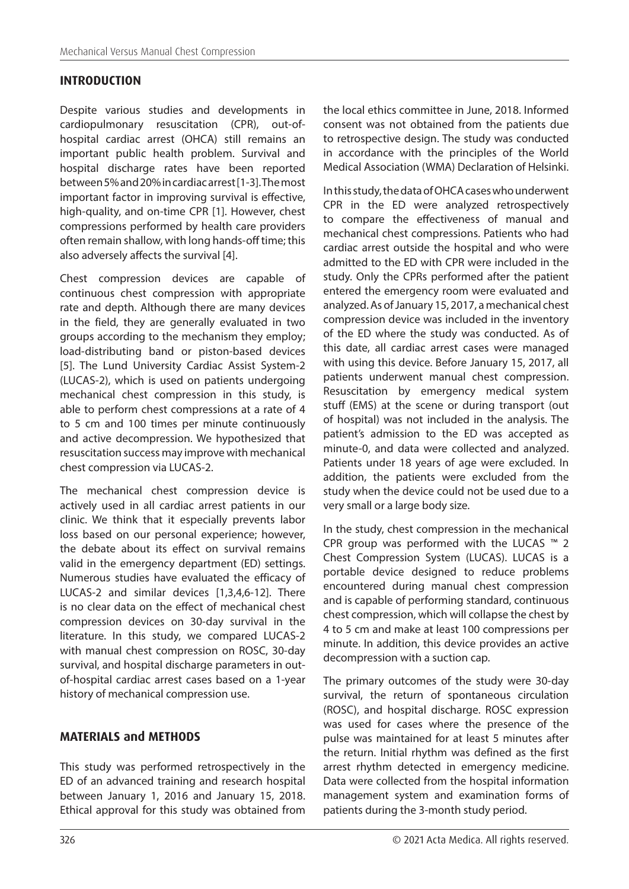### **INTRODUCTION**

Despite various studies and developments in cardiopulmonary resuscitation (CPR), out-ofhospital cardiac arrest (OHCA) still remains an important public health problem. Survival and hospital discharge rates have been reported between 5% and 20% in cardiac arrest [1-3]. The most important factor in improving survival is effective, high-quality, and on-time CPR [1]. However, chest compressions performed by health care providers often remain shallow, with long hands-off time; this also adversely affects the survival [4].

Chest compression devices are capable of continuous chest compression with appropriate rate and depth. Although there are many devices in the field, they are generally evaluated in two groups according to the mechanism they employ; load-distributing band or piston-based devices [5]. The Lund University Cardiac Assist System-2 (LUCAS-2), which is used on patients undergoing mechanical chest compression in this study, is able to perform chest compressions at a rate of 4 to 5 cm and 100 times per minute continuously and active decompression. We hypothesized that resuscitation success may improve with mechanical chest compression via LUCAS-2.

The mechanical chest compression device is actively used in all cardiac arrest patients in our clinic. We think that it especially prevents labor loss based on our personal experience; however, the debate about its effect on survival remains valid in the emergency department (ED) settings. Numerous studies have evaluated the efficacy of LUCAS-2 and similar devices [1,3,4,6-12]. There is no clear data on the effect of mechanical chest compression devices on 30-day survival in the literature. In this study, we compared LUCAS-2 with manual chest compression on ROSC, 30-day survival, and hospital discharge parameters in outof-hospital cardiac arrest cases based on a 1-year history of mechanical compression use.

### **MATERIALS and METHODS**

This study was performed retrospectively in the ED of an advanced training and research hospital between January 1, 2016 and January 15, 2018. Ethical approval for this study was obtained from the local ethics committee in June, 2018. Informed consent was not obtained from the patients due to retrospective design. The study was conducted in accordance with the principles of the World Medical Association (WMA) Declaration of Helsinki.

In this study, the data of OHCA cases who underwent CPR in the ED were analyzed retrospectively to compare the effectiveness of manual and mechanical chest compressions. Patients who had cardiac arrest outside the hospital and who were admitted to the ED with CPR were included in the study. Only the CPRs performed after the patient entered the emergency room were evaluated and analyzed. As of January 15, 2017, a mechanical chest compression device was included in the inventory of the ED where the study was conducted. As of this date, all cardiac arrest cases were managed with using this device. Before January 15, 2017, all patients underwent manual chest compression. Resuscitation by emergency medical system stuff (EMS) at the scene or during transport (out of hospital) was not included in the analysis. The patient's admission to the ED was accepted as minute-0, and data were collected and analyzed. Patients under 18 years of age were excluded. In addition, the patients were excluded from the study when the device could not be used due to a very small or a large body size.

In the study, chest compression in the mechanical CPR group was performed with the LUCAS ™ 2 Chest Compression System (LUCAS). LUCAS is a portable device designed to reduce problems encountered during manual chest compression and is capable of performing standard, continuous chest compression, which will collapse the chest by 4 to 5 cm and make at least 100 compressions per minute. In addition, this device provides an active decompression with a suction cap.

The primary outcomes of the study were 30-day survival, the return of spontaneous circulation (ROSC), and hospital discharge. ROSC expression was used for cases where the presence of the pulse was maintained for at least 5 minutes after the return. Initial rhythm was defined as the first arrest rhythm detected in emergency medicine. Data were collected from the hospital information management system and examination forms of patients during the 3-month study period.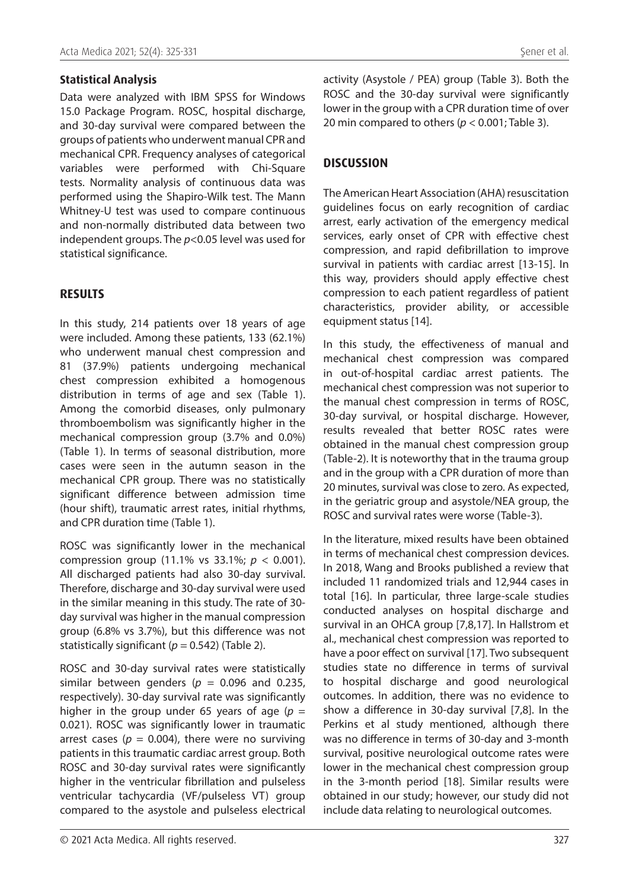#### **Statistical Analysis**

Data were analyzed with IBM SPSS for Windows 15.0 Package Program. ROSC, hospital discharge, and 30-day survival were compared between the groups of patients who underwent manual CPR and mechanical CPR. Frequency analyses of categorical variables were performed with Chi-Square tests. Normality analysis of continuous data was performed using the Shapiro-Wilk test. The Mann Whitney-U test was used to compare continuous and non-normally distributed data between two independent groups. The *p*<0.05 level was used for statistical significance.

### **RESULTS**

In this study, 214 patients over 18 years of age were included. Among these patients, 133 (62.1%) who underwent manual chest compression and 81 (37.9%) patients undergoing mechanical chest compression exhibited a homogenous distribution in terms of age and sex (Table 1). Among the comorbid diseases, only pulmonary thromboembolism was significantly higher in the mechanical compression group (3.7% and 0.0%) (Table 1). In terms of seasonal distribution, more cases were seen in the autumn season in the mechanical CPR group. There was no statistically significant difference between admission time (hour shift), traumatic arrest rates, initial rhythms, and CPR duration time (Table 1).

ROSC was significantly lower in the mechanical compression group (11.1% vs 33.1%; *p* < 0.001). All discharged patients had also 30-day survival. Therefore, discharge and 30-day survival were used in the similar meaning in this study. The rate of 30 day survival was higher in the manual compression group (6.8% vs 3.7%), but this difference was not statistically significant ( $p = 0.542$ ) (Table 2).

ROSC and 30-day survival rates were statistically similar between genders ( $p = 0.096$  and 0.235, respectively). 30-day survival rate was significantly higher in the group under 65 years of age  $(p =$ 0.021). ROSC was significantly lower in traumatic arrest cases ( $p = 0.004$ ), there were no surviving patients in this traumatic cardiac arrest group. Both ROSC and 30-day survival rates were significantly higher in the ventricular fibrillation and pulseless ventricular tachycardia (VF/pulseless VT) group compared to the asystole and pulseless electrical activity (Asystole / PEA) group (Table 3). Both the ROSC and the 30-day survival were significantly lower in the group with a CPR duration time of over 20 min compared to others (*p* < 0.001; Table 3).

### **DISCUSSION**

The American Heart Association (AHA) resuscitation guidelines focus on early recognition of cardiac arrest, early activation of the emergency medical services, early onset of CPR with effective chest compression, and rapid defibrillation to improve survival in patients with cardiac arrest [13-15]. In this way, providers should apply effective chest compression to each patient regardless of patient characteristics, provider ability, or accessible equipment status [14].

In this study, the effectiveness of manual and mechanical chest compression was compared in out-of-hospital cardiac arrest patients. The mechanical chest compression was not superior to the manual chest compression in terms of ROSC, 30-day survival, or hospital discharge. However, results revealed that better ROSC rates were obtained in the manual chest compression group (Table-2). It is noteworthy that in the trauma group and in the group with a CPR duration of more than 20 minutes, survival was close to zero. As expected, in the geriatric group and asystole/NEA group, the ROSC and survival rates were worse (Table-3).

In the literature, mixed results have been obtained in terms of mechanical chest compression devices. In 2018, Wang and Brooks published a review that included 11 randomized trials and 12,944 cases in total [16]. In particular, three large-scale studies conducted analyses on hospital discharge and survival in an OHCA group [7,8,17]. In Hallstrom et al., mechanical chest compression was reported to have a poor effect on survival [17]. Two subsequent studies state no difference in terms of survival to hospital discharge and good neurological outcomes. In addition, there was no evidence to show a difference in 30-day survival [7,8]. In the Perkins et al study mentioned, although there was no difference in terms of 30-day and 3-month survival, positive neurological outcome rates were lower in the mechanical chest compression group in the 3-month period [18]. Similar results were obtained in our study; however, our study did not include data relating to neurological outcomes.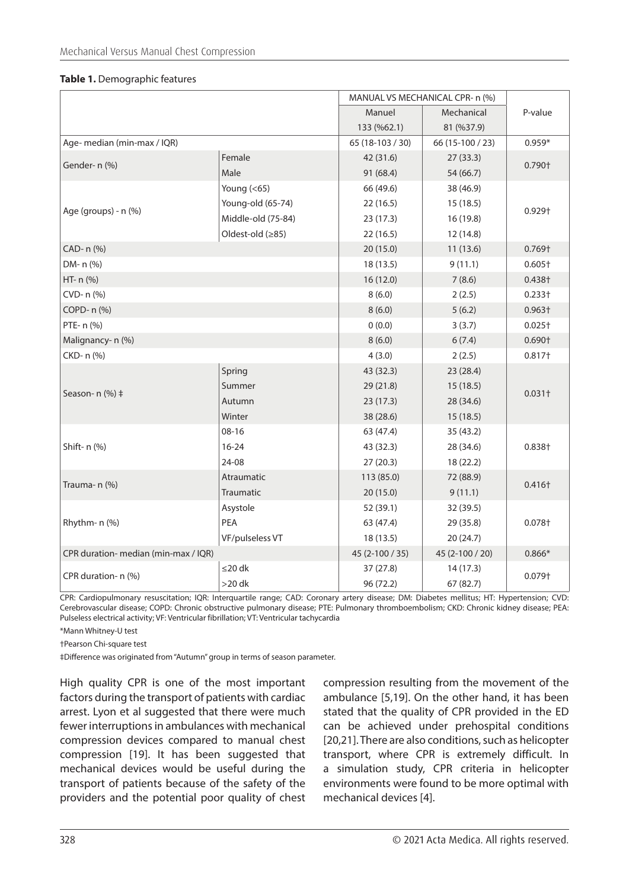|  | Table 1. Demographic features |  |
|--|-------------------------------|--|
|--|-------------------------------|--|

|                                      |                    | MANUAL VS MECHANICAL CPR- n (%) |                  |           |  |
|--------------------------------------|--------------------|---------------------------------|------------------|-----------|--|
|                                      |                    | Manuel                          | Mechanical       | P-value   |  |
|                                      |                    | 133 (%62.1)                     | 81 (%37.9)       |           |  |
| Age- median (min-max / IQR)          |                    | 65 (18-103 / 30)                | 66 (15-100 / 23) | $0.959*$  |  |
| Gender- n (%)                        | Female             | 42 (31.6)                       | 27(33.3)         | 0.790+    |  |
|                                      | Male               | 91 (68.4)                       | 54 (66.7)        |           |  |
|                                      | Young $(65)$       | 66 (49.6)                       | 38 (46.9)        | 0.929†    |  |
| Age (groups) - n (%)                 | Young-old (65-74)  | 22 (16.5)                       | 15(18.5)         |           |  |
|                                      | Middle-old (75-84) | 23(17.3)                        | 16(19.8)         |           |  |
|                                      | Oldest-old (≥85)   | 22(16.5)                        | 12(14.8)         |           |  |
| CAD- n (%)                           |                    | 20 (15.0)                       | 11(13.6)         | $0.769+$  |  |
| DM- n (%)                            |                    | 18(13.5)                        | 9(11.1)          | $0.605+$  |  |
| HT- n (%)                            |                    | 16(12.0)                        | 7(8.6)           | 0.438†    |  |
| CVD- n (%)                           |                    | 8(6.0)                          | 2(2.5)           | $0.233 +$ |  |
| COPD- n (%)                          |                    | 8(6.0)                          | 5(6.2)           | $0.963+$  |  |
| PTE- n (%)                           |                    | 0(0.0)                          | 3(3.7)           | $0.025+$  |  |
| Malignancy- n (%)                    |                    | 8(6.0)                          | 6(7.4)           | $0.690+$  |  |
| CKD- n (%)                           |                    | 4(3.0)                          | 2(2.5)           | 0.817+    |  |
|                                      | Spring             | 43 (32.3)                       | 23(28.4)         | $0.031+$  |  |
| Season- $n$ (%) $\ddagger$           | Summer             | 29 (21.8)                       | 15(18.5)         |           |  |
|                                      | Autumn             | 23(17.3)                        | 28 (34.6)        |           |  |
|                                      | Winter             | 38 (28.6)                       | 15(18.5)         |           |  |
|                                      | $08 - 16$          | 63 (47.4)                       | 35(43.2)         |           |  |
| Shift- n (%)                         | $16 - 24$          | 43 (32.3)                       | 28 (34.6)        | $0.838 +$ |  |
|                                      | 24-08              | 27(20.3)                        | 18 (22.2)        |           |  |
| Trauma- n (%)                        | Atraumatic         | 113 (85.0)                      | 72 (88.9)        | 0.416†    |  |
|                                      | Traumatic          | 20(15.0)                        | 9(11.1)          |           |  |
|                                      | Asystole           | 52 (39.1)                       | 32 (39.5)        |           |  |
| Rhythm- n (%)                        | PEA                | 63 (47.4)                       | 29 (35.8)        | 0.078+    |  |
|                                      | VF/pulseless VT    | 18(13.5)                        | 20(24.7)         |           |  |
| CPR duration- median (min-max / IQR) |                    | 45 (2-100 / 35)                 | 45 (2-100 / 20)  | $0.866*$  |  |
| CPR duration- n (%)                  | $\leq$ 20 dk       | 37(27.8)                        | 14(17.3)         | 0.079†    |  |
|                                      | $>$ 20 dk          | 96 (72.2)                       | 67 (82.7)        |           |  |

CPR: Cardiopulmonary resuscitation; IQR: Interquartile range; CAD: Coronary artery disease; DM: Diabetes mellitus; HT: Hypertension; CVD: Cerebrovascular disease; COPD: Chronic obstructive pulmonary disease; PTE: Pulmonary thromboembolism; CKD: Chronic kidney disease; PEA: Pulseless electrical activity; VF: Ventricular fibrillation; VT: Ventricular tachycardia

\*Mann Whitney-U test

†Pearson Chi-square test

‡Difference was originated from "Autumn" group in terms of season parameter.

High quality CPR is one of the most important factors during the transport of patients with cardiac arrest. Lyon et al suggested that there were much fewer interruptions in ambulances with mechanical compression devices compared to manual chest compression [19]. It has been suggested that mechanical devices would be useful during the transport of patients because of the safety of the providers and the potential poor quality of chest compression resulting from the movement of the ambulance [5,19]. On the other hand, it has been stated that the quality of CPR provided in the ED can be achieved under prehospital conditions [20,21]. There are also conditions, such as helicopter transport, where CPR is extremely difficult. In a simulation study, CPR criteria in helicopter environments were found to be more optimal with mechanical devices [4].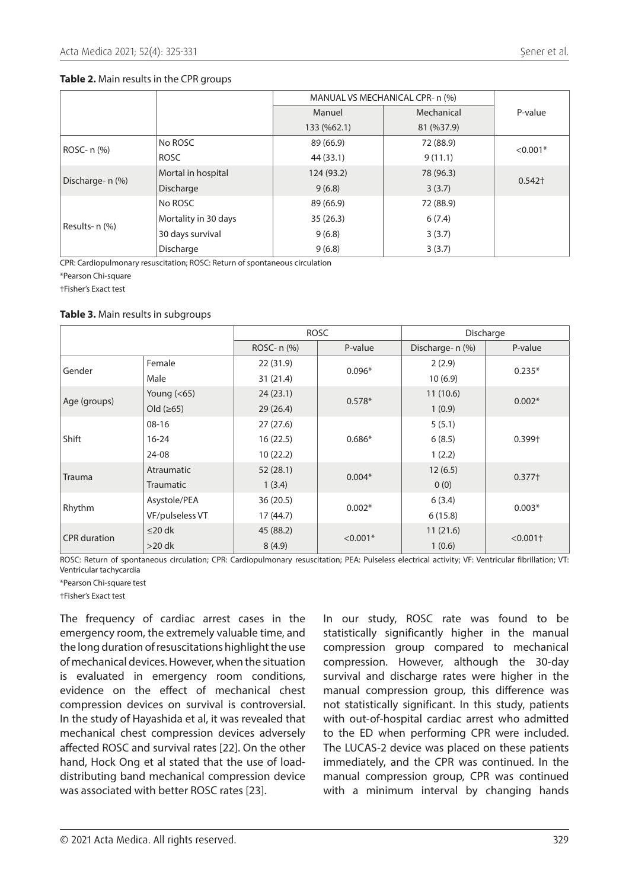#### **Table 2.** Main results in the CPR groups

|                  | MANUAL VS MECHANICAL CPR- n (%) |             |            |            |  |
|------------------|---------------------------------|-------------|------------|------------|--|
|                  |                                 | Manuel      | Mechanical | P-value    |  |
|                  |                                 | 133 (%62.1) | 81 (%37.9) |            |  |
| ROSC- n (%)      | No ROSC                         | 89 (66.9)   | 72 (88.9)  | $< 0.001*$ |  |
|                  | <b>ROSC</b>                     | 44 (33.1)   | 9(11.1)    |            |  |
| Discharge- n (%) | Mortal in hospital              | 124 (93.2)  | 78 (96.3)  | $0.542+$   |  |
|                  | Discharge                       | 9(6.8)      | 3(3.7)     |            |  |
| Results- n (%)   | No ROSC                         | 89 (66.9)   | 72 (88.9)  |            |  |
|                  | Mortality in 30 days            | 35(26.3)    | 6(7.4)     |            |  |
|                  | 30 days survival                | 9(6.8)      | 3(3.7)     |            |  |
|                  | Discharge                       | 9(6.8)      | 3(3.7)     |            |  |

CPR: Cardiopulmonary resuscitation; ROSC: Return of spontaneous circulation

\*Pearson Chi-square

†Fisher's Exact test

#### **Table 3.** Main results in subgroups

|                     |                  | <b>ROSC</b> |            | Discharge        |                        |
|---------------------|------------------|-------------|------------|------------------|------------------------|
|                     |                  | ROSC- n (%) | P-value    | Discharge- n (%) | P-value                |
| Gender              | Female           | 22(31.9)    | $0.096*$   | 2(2.9)           | $0.235*$               |
|                     | Male             | 31(21.4)    |            | 10(6.9)          |                        |
| Age (groups)        | Young $(65)$     | 24(23.1)    | $0.578*$   | 11(10.6)         | $0.002*$               |
|                     | Old $(≥65)$      | 29(26.4)    |            | 1(0.9)           |                        |
| Shift               | $08-16$          | 27(27.6)    | $0.686*$   | 5(5.1)           | 0.399†                 |
|                     | $16 - 24$        | 16(22.5)    |            | 6(8.5)           |                        |
|                     | 24-08            | 10(22.2)    |            | 1(2.2)           |                        |
| <b>Trauma</b>       | Atraumatic       | 52(28.1)    | $0.004*$   | 12(6.5)          | 0.377 <sup>†</sup>     |
|                     | <b>Traumatic</b> | 1(3.4)      |            | 0(0)             |                        |
| Rhythm              | Asystole/PEA     | 36(20.5)    | $0.002*$   | 6(3.4)           | $0.003*$               |
|                     | VF/pulseless VT  | 17 (44.7)   |            | 6(15.8)          |                        |
| <b>CPR</b> duration | $\leq$ 20 dk     | 45 (88.2)   | $< 0.001*$ | 11(21.6)         | $< 0.001$ <sup>+</sup> |
|                     | $>20$ dk         | 8(4.9)      |            | 1(0.6)           |                        |

ROSC: Return of spontaneous circulation; CPR: Cardiopulmonary resuscitation; PEA: Pulseless electrical activity; VF: Ventricular fibrillation; VT: Ventricular tachycardia

\*Pearson Chi-square test

†Fisher's Exact test

The frequency of cardiac arrest cases in the emergency room, the extremely valuable time, and the long duration of resuscitations highlight the use of mechanical devices. However, when the situation is evaluated in emergency room conditions, evidence on the effect of mechanical chest compression devices on survival is controversial. In the study of Hayashida et al, it was revealed that mechanical chest compression devices adversely affected ROSC and survival rates [22]. On the other hand, Hock Ong et al stated that the use of loaddistributing band mechanical compression device was associated with better ROSC rates [23].

In our study, ROSC rate was found to be statistically significantly higher in the manual compression group compared to mechanical compression. However, although the 30-day survival and discharge rates were higher in the manual compression group, this difference was not statistically significant. In this study, patients with out-of-hospital cardiac arrest who admitted to the ED when performing CPR were included. The LUCAS-2 device was placed on these patients immediately, and the CPR was continued. In the manual compression group, CPR was continued with a minimum interval by changing hands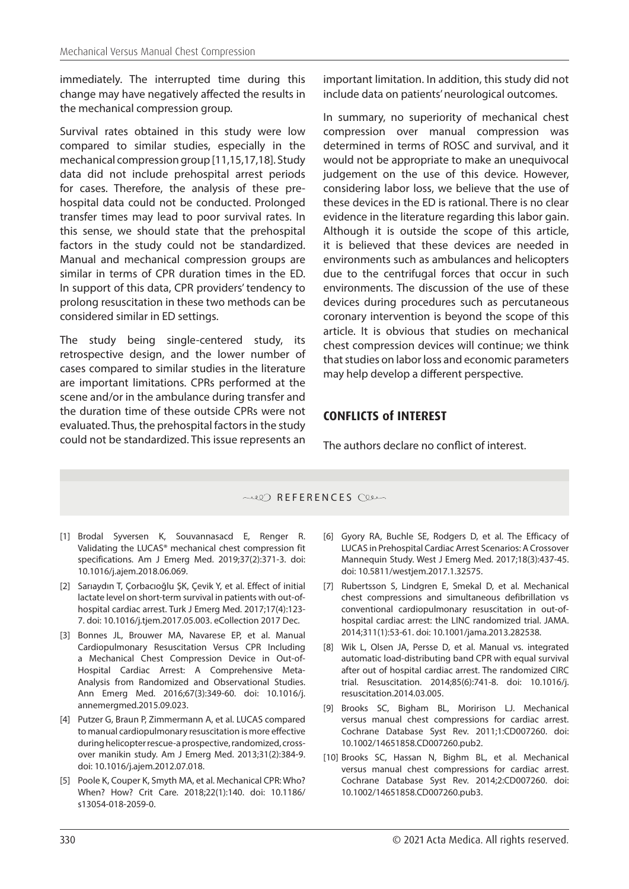immediately. The interrupted time during this change may have negatively affected the results in the mechanical compression group.

Survival rates obtained in this study were low compared to similar studies, especially in the mechanical compression group [11,15,17,18]. Study data did not include prehospital arrest periods for cases. Therefore, the analysis of these prehospital data could not be conducted. Prolonged transfer times may lead to poor survival rates. In this sense, we should state that the prehospital factors in the study could not be standardized. Manual and mechanical compression groups are similar in terms of CPR duration times in the ED. In support of this data, CPR providers' tendency to prolong resuscitation in these two methods can be considered similar in ED settings.

The study being single-centered study, its retrospective design, and the lower number of cases compared to similar studies in the literature are important limitations. CPRs performed at the scene and/or in the ambulance during transfer and the duration time of these outside CPRs were not evaluated. Thus, the prehospital factors in the study could not be standardized. This issue represents an important limitation. In addition, this study did not include data on patients' neurological outcomes.

In summary, no superiority of mechanical chest compression over manual compression was determined in terms of ROSC and survival, and it would not be appropriate to make an unequivocal judgement on the use of this device. However, considering labor loss, we believe that the use of these devices in the ED is rational. There is no clear evidence in the literature regarding this labor gain. Although it is outside the scope of this article, it is believed that these devices are needed in environments such as ambulances and helicopters due to the centrifugal forces that occur in such environments. The discussion of the use of these devices during procedures such as percutaneous coronary intervention is beyond the scope of this article. It is obvious that studies on mechanical chest compression devices will continue; we think that studies on labor loss and economic parameters may help develop a different perspective.

## **CONFLICTS of INTEREST**

The authors declare no conflict of interest.

#### REFERENCES

- [1] Brodal Syversen K, Souvannasacd E, Renger R. Validating the LUCAS® mechanical chest compression fit specifications. Am J Emerg Med. 2019;37(2):371-3. doi: [10.1016/j.ajem.2018.06.069.](https://doi.org/10.1016/j.ajem.2018.06.069)
- [2] Sarıaydın T, Çorbacıoğlu ŞK, Çevik Y, et al. Effect of initial lactate level on short-term survival in patients with out-ofhospital cardiac arrest. Turk J Emerg Med. 2017;17(4):123- 7. doi: [10.1016/j.tjem.2017.05.003.](https://doi.org/10.1016/j.tjem.2017.05.003) eCollection 2017 Dec.
- [3] Bonnes JL, Brouwer MA, Navarese EP, et al. Manual Cardiopulmonary Resuscitation Versus CPR Including a Mechanical Chest Compression Device in Out-of-Hospital Cardiac Arrest: A Comprehensive Meta-Analysis from Randomized and Observational Studies. Ann Emerg Med. 2016;67(3):349-60. doi: [10.1016/j.](https://doi.org/10.1016/j.annemergmed.2015.09.023) [annemergmed.2015.09.023.](https://doi.org/10.1016/j.annemergmed.2015.09.023)
- [4] Putzer G, Braun P, Zimmermann A, et al. LUCAS compared to manual cardiopulmonary resuscitation is more effective during helicopter rescue-a prospective, randomized, crossover manikin study. Am J Emerg Med. 2013;31(2):384-9. doi: [10.1016/j.ajem.2012.07.018.](https://doi.org/10.1016/j.ajem.2012.07.018)
- [5] Poole K, Couper K, Smyth MA, et al. Mechanical CPR: Who? When? How? Crit Care. 2018;22(1):140. doi: [10.1186/](https://doi.org/10.1186/s13054-018-2059-0) [s13054-018-2059-0.](https://doi.org/10.1186/s13054-018-2059-0)
- [6] Gyory RA, Buchle SE, Rodgers D, et al. The Efficacy of LUCAS in Prehospital Cardiac Arrest Scenarios: A Crossover Mannequin Study. West J Emerg Med. 2017;18(3):437-45. doi: [10.5811/westjem.2017.1.32575](https://doi.org/10.5811/westjem.2017.1.32575).
- [7] Rubertsson S, Lindgren E, Smekal D, et al. Mechanical chest compressions and simultaneous defibrillation vs conventional cardiopulmonary resuscitation in out-ofhospital cardiac arrest: the LINC randomized trial. JAMA. 2014;311(1):53-61. doi: [10.1001/jama.2013.282538.](https://doi.org/10.1001/jama.2013.282538)
- [8] Wik L, Olsen JA, Persse D, et al. Manual vs. integrated automatic load-distributing band CPR with equal survival after out of hospital cardiac arrest. The randomized CIRC trial. Resuscitation. 2014;85(6):741-8. doi: [10.1016/j.](https://doi.org/10.1016/j.resuscitation.2014.03.005) [resuscitation.2014.03.005](https://doi.org/10.1016/j.resuscitation.2014.03.005).
- [9] Brooks SC, Bigham BL, Moririson LJ. Mechanical versus manual chest compressions for cardiac arrest. Cochrane Database Syst Rev. 2011;1:CD007260. doi: [10.1002/14651858.CD007260.pub2](https://doi.org/10.1002/14651858.CD007260.pub2).
- [10] Brooks SC, Hassan N, Bighm BL, et al. Mechanical versus manual chest compressions for cardiac arrest. Cochrane Database Syst Rev. 2014;2:CD007260. doi: [10.1002/14651858.CD007260.pub3](https://doi.org/10.1002/14651858.CD007260.pub3).